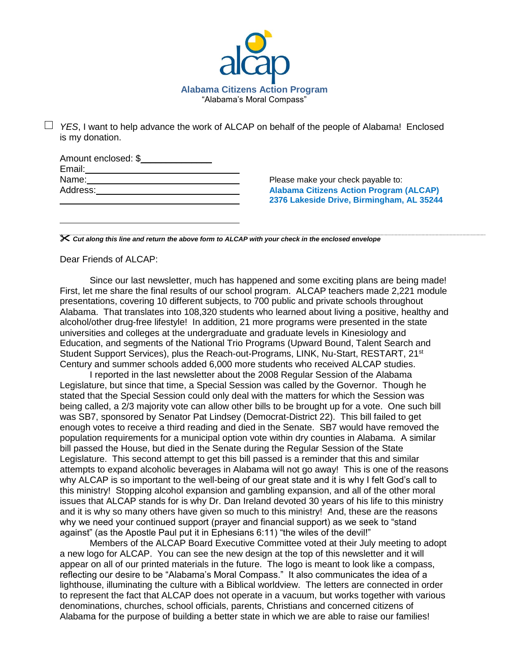

*YES*, I want to help advance the work of ALCAP on behalf of the people of Alabama! Enclosed is my donation.

| Amount enclosed: \$ |  |
|---------------------|--|
| Email:              |  |
| Name:               |  |
| Address:            |  |
|                     |  |

Please make your check payable to: **Alabama Citizens Action Program (ALCAP) 2376 Lakeside Drive, Birmingham, AL 35244**

*Cut along this line and return the above form to ALCAP with your check in the enclosed envelope*

Dear Friends of ALCAP:

Since our last newsletter, much has happened and some exciting plans are being made! First, let me share the final results of our school program. ALCAP teachers made 2,221 module presentations, covering 10 different subjects, to 700 public and private schools throughout Alabama. That translates into 108,320 students who learned about living a positive, healthy and alcohol/other drug-free lifestyle! In addition, 21 more programs were presented in the state universities and colleges at the undergraduate and graduate levels in Kinesiology and Education, and segments of the National Trio Programs (Upward Bound, Talent Search and Student Support Services), plus the Reach-out-Programs, LINK, Nu-Start, RESTART, 21<sup>st</sup> Century and summer schools added 6,000 more students who received ALCAP studies.

I reported in the last newsletter about the 2008 Regular Session of the Alabama Legislature, but since that time, a Special Session was called by the Governor. Though he stated that the Special Session could only deal with the matters for which the Session was being called, a 2/3 majority vote can allow other bills to be brought up for a vote. One such bill was SB7, sponsored by Senator Pat Lindsey (Democrat-District 22). This bill failed to get enough votes to receive a third reading and died in the Senate. SB7 would have removed the population requirements for a municipal option vote within dry counties in Alabama. A similar bill passed the House, but died in the Senate during the Regular Session of the State Legislature. This second attempt to get this bill passed is a reminder that this and similar attempts to expand alcoholic beverages in Alabama will not go away! This is one of the reasons why ALCAP is so important to the well-being of our great state and it is why I felt God's call to this ministry! Stopping alcohol expansion and gambling expansion, and all of the other moral issues that ALCAP stands for is why Dr. Dan Ireland devoted 30 years of his life to this ministry and it is why so many others have given so much to this ministry! And, these are the reasons why we need your continued support (prayer and financial support) as we seek to "stand against" (as the Apostle Paul put it in Ephesians 6:11) "the wiles of the devil!"

Members of the ALCAP Board Executive Committee voted at their July meeting to adopt a new logo for ALCAP. You can see the new design at the top of this newsletter and it will appear on all of our printed materials in the future. The logo is meant to look like a compass, reflecting our desire to be "Alabama's Moral Compass." It also communicates the idea of a lighthouse, illuminating the culture with a Biblical worldview. The letters are connected in order to represent the fact that ALCAP does not operate in a vacuum, but works together with various denominations, churches, school officials, parents, Christians and concerned citizens of Alabama for the purpose of building a better state in which we are able to raise our families!